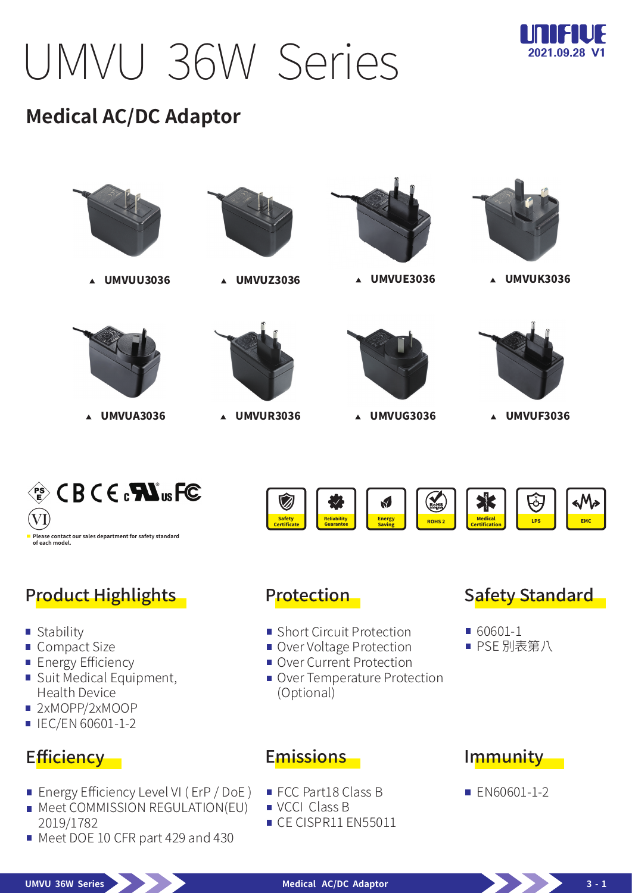UMVU 36W Series



# **Medical AC/DC Adaptor**



## Product Highlights **Protection**

- **Stability**
- Compact Size
- **Energy Efficiency**
- Suit Medical Equipment, Health Device
- 2xMOPP/2xMOOP
- $\blacksquare$  IEC/EN 60601-1-2

## Efficiency -

- **Energy Efficiency Level VI (ErP / DoE)**
- **Meet COMMISSION REGULATION(EU)** 2019/1782
- Meet DOE 10 CFR part 429 and 430

- **Short Circuit Protection**
- Over Voltage Protection
- Over Current Protection
- Over Temperature Protection (Optional)

#### **Safety Standard**

- 60601-1
- PSE 別表第八

### Emissions

- FCC Part18 Class B
- VCCI Class B
- CE CISPR11 EN55011

### Immunity

**EN60601-1-2** 

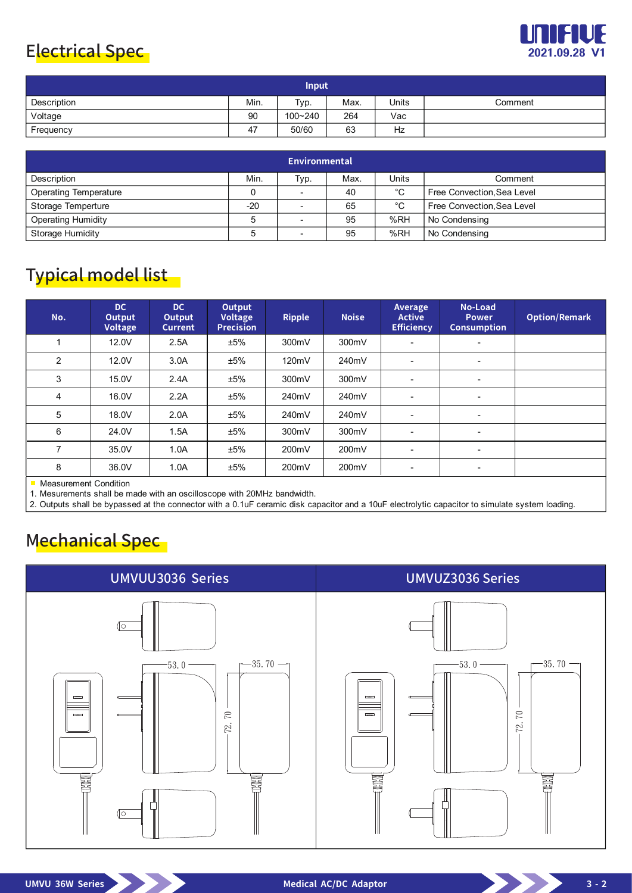## Electrical Spec



| <b>Input</b> |      |         |      |              |         |  |  |  |
|--------------|------|---------|------|--------------|---------|--|--|--|
| Description  | Min. | Typ.    | Max. | <b>Units</b> | Comment |  |  |  |
| Voltage      | 90   | 100~240 | 264  | Vac          |         |  |  |  |
| Frequency    | 47   | 50/60   | 63   | Hz           |         |  |  |  |

| <b>Environmental</b>         |       |                          |      |             |                            |  |  |  |
|------------------------------|-------|--------------------------|------|-------------|----------------------------|--|--|--|
| Description                  | Min.  | Typ.                     | Max. | Units       | Comment                    |  |  |  |
| <b>Operating Temperature</b> |       | $\overline{\phantom{0}}$ | 40   | $^{\circ}C$ | Free Convection, Sea Level |  |  |  |
| Storage Temperture           | $-20$ |                          | 65   | °C          | Free Convection, Sea Level |  |  |  |
| <b>Operating Humidity</b>    |       |                          | 95   | %RH         | No Condensing              |  |  |  |
| <b>Storage Humidity</b>      |       |                          | 95   | %RH         | No Condensing              |  |  |  |

# Typical model list

| No.                   | DC.<br>Output<br><b>Voltage</b> | DC.<br>Output<br><b>Current</b> | Output<br><b>Voltage</b><br><b>Precision</b> | <b>Ripple</b> | <b>Noise</b> | Average<br><b>Active</b><br><b>Efficiency</b> | No-Load<br><b>Power</b><br><b>Consumption</b> | <b>Option/Remark</b> |
|-----------------------|---------------------------------|---------------------------------|----------------------------------------------|---------------|--------------|-----------------------------------------------|-----------------------------------------------|----------------------|
|                       | 12.0V                           | 2.5A                            | ±5%                                          | 300mV         | 300mV        |                                               |                                               |                      |
| $\overline{2}$        | 12.0V                           | 3.0A                            | ±5%                                          | 120mV         | 240mV        | $\blacksquare$                                | $\overline{\phantom{a}}$                      |                      |
| 3                     | 15.0V                           | 2.4A                            | ±5%                                          | 300mV         | 300mV        | $\overline{\phantom{a}}$                      | ٠                                             |                      |
| 4                     | 16.0V                           | 2.2A                            | ±5%                                          | 240mV         | 240mV        |                                               | $\overline{\phantom{a}}$                      |                      |
| 5                     | 18.0V                           | 2.0A                            | ±5%                                          | 240mV         | 240mV        | ۰                                             | ٠                                             |                      |
| 6                     | 24.0V                           | 1.5A                            | ±5%                                          | 300mV         | 300mV        | $\blacksquare$                                | $\overline{\phantom{a}}$                      |                      |
| $\overline{ }$        | 35.0V                           | 1.0A                            | ±5%                                          | 200mV         | 200mV        | $\blacksquare$                                | $\blacksquare$                                |                      |
| 8                     | 36.0V                           | 1.0A                            | ±5%                                          | 200mV         | 200mV        | $\overline{\phantom{a}}$                      | $\overline{\phantom{a}}$                      |                      |
| Measurement Condition |                                 |                                 |                                              |               |              |                                               |                                               |                      |

Measurement Condition

1. Mesurements shall be made with an oscilloscope with 20MHz bandwidth.

2. Outputs shall be bypassed at the connector with a 0.1uF ceramic disk capacitor and a 10uF electrolytic capacitor to simulate system loading.

# Mechanical Spec